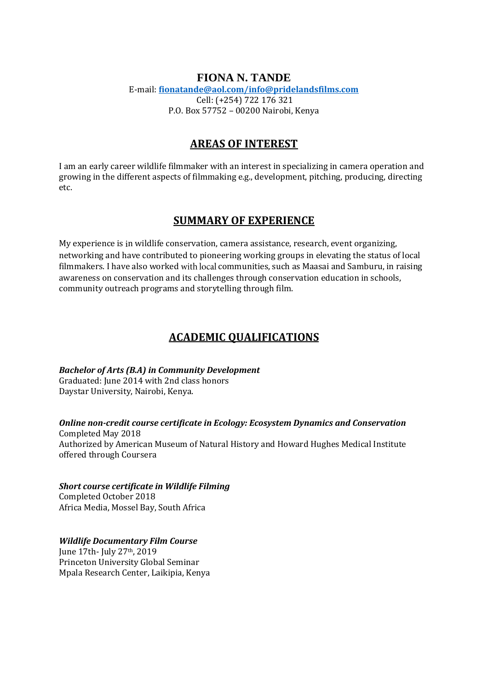## **FIONA N. TANDE**  E-mail: **[fionatande@aol.com/info@pridelandsfilms.com](mailto:fionatande@aol.com/info@pridelandsfilms.com)** Cell: (+254) 722 176 321 P.O. Box 57752 – 00200 Nairobi, Kenya

# **AREAS OF INTEREST**

I am an early career wildlife filmmaker with an interest in specializing in camera operation and growing in the different aspects of filmmaking e.g., development, pitching, producing, directing etc.

# **SUMMARY OF EXPERIENCE**

My experience is n wildlife conservation, camera assistance, research, event organizing, networking and have contributed to pioneering working groups in elevating the status of local filmmakers. I have also worked with local communities, such as Maasai and Samburu, in raising awareness on conservation and its challenges through conservation education in schools, community outreach programs and storytelling through film.

# **ACADEMIC QUALIFICATIONS**

*Bachelor of Arts (B.A) in Community Development* 

Graduated: June 2014 with 2nd class honors Daystar University, Nairobi, Kenya.

*Online non-credit course certificate in Ecology: Ecosystem Dynamics and Conservation*  Completed May 2018 Authorized by American Museum of Natural History and Howard Hughes Medical Institute offered through Coursera

*Short course certificate in Wildlife Filming*  Completed October 2018 Africa Media, Mossel Bay, South Africa

## *Wildlife Documentary Film Course*

June 17th- July 27th, 2019 Princeton University Global Seminar Mpala Research Center, Laikipia, Kenya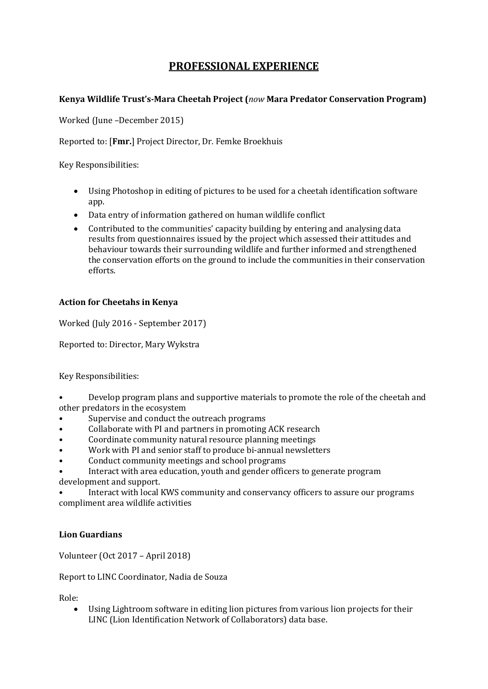# **PROFESSIONAL EXPERIENCE**

## **Kenya Wildlife Trust's-Mara Cheetah Project (***now* **Mara Predator Conservation Program)**

Worked (June –December 2015)

Reported to: [**Fmr.**] Project Director, Dr. Femke Broekhuis

Key Responsibilities:

- Using Photoshop in editing of pictures to be used for a cheetah identification software app.
- Data entry of information gathered on human wildlife conflict
- Contributed to the communities' capacity building by entering and analysing data results from questionnaires issued by the project which assessed their attitudes and behaviour towards their surrounding wildlife and further informed and strengthened the conservation efforts on the ground to include the communities in their conservation efforts.

## **Action for Cheetahs in Kenya**

Worked (July 2016 - September 2017)

Reported to: Director, Mary Wykstra

Key Responsibilities:

- Develop program plans and supportive materials to promote the role of the cheetah and other predators in the ecosystem
- Supervise and conduct the outreach programs
- Collaborate with PI and partners in promoting ACK research
- Coordinate community natural resource planning meetings
- Work with PI and senior staff to produce bi-annual newsletters
- Conduct community meetings and school programs
- Interact with area education, youth and gender officers to generate program development and support.

• Interact with local KWS community and conservancy officers to assure our programs compliment area wildlife activities

# **Lion Guardians**

Volunteer (Oct 2017 – April 2018)

Report to LINC Coordinator, Nadia de Souza

Role:

• Using Lightroom software in editing lion pictures from various lion projects for their LINC (Lion Identification Network of Collaborators) data base.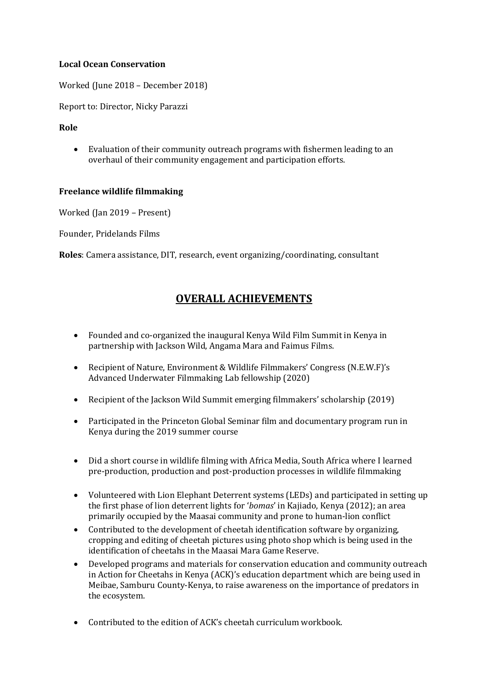#### **Local Ocean Conservation**

Worked (June 2018 – December 2018)

Report to: Director, Nicky Parazzi

## **Role**

• Evaluation of their community outreach programs with fishermen leading to an overhaul of their community engagement and participation efforts.

## **Freelance wildlife filmmaking**

Worked (Jan 2019 – Present)

Founder, Pridelands Films

**Roles**: Camera assistance, DIT, research, event organizing/coordinating, consultant

# **OVERALL ACHIEVEMENTS**

- Founded and co-organized the inaugural Kenya Wild Film Summit in Kenya in partnership with Jackson Wild, Angama Mara and Faimus Films.
- Recipient of Nature, Environment & Wildlife Filmmakers' Congress (N.E.W.F)'s Advanced Underwater Filmmaking Lab fellowship (2020)
- Recipient of the Jackson Wild Summit emerging filmmakers' scholarship (2019)
- Participated in the Princeton Global Seminar film and documentary program run in Kenya during the 2019 summer course
- Did a short course in wildlife filming with Africa Media, South Africa where I learned pre-production, production and post-production processes in wildlife filmmaking
- Volunteered with Lion Elephant Deterrent systems (LEDs) and participated in setting up the first phase of lion deterrent lights for '*bomas*' in Kajiado, Kenya (2012); an area primarily occupied by the Maasai community and prone to human-lion conflict
- Contributed to the development of cheetah identification software by organizing, cropping and editing of cheetah pictures using photo shop which is being used in the identification of cheetahs in the Maasai Mara Game Reserve.
- Developed programs and materials for conservation education and community outreach in Action for Cheetahs in Kenya (ACK)'s education department which are being used in Meibae, Samburu County-Kenya, to raise awareness on the importance of predators in the ecosystem.
- Contributed to the edition of ACK's cheetah curriculum workbook.